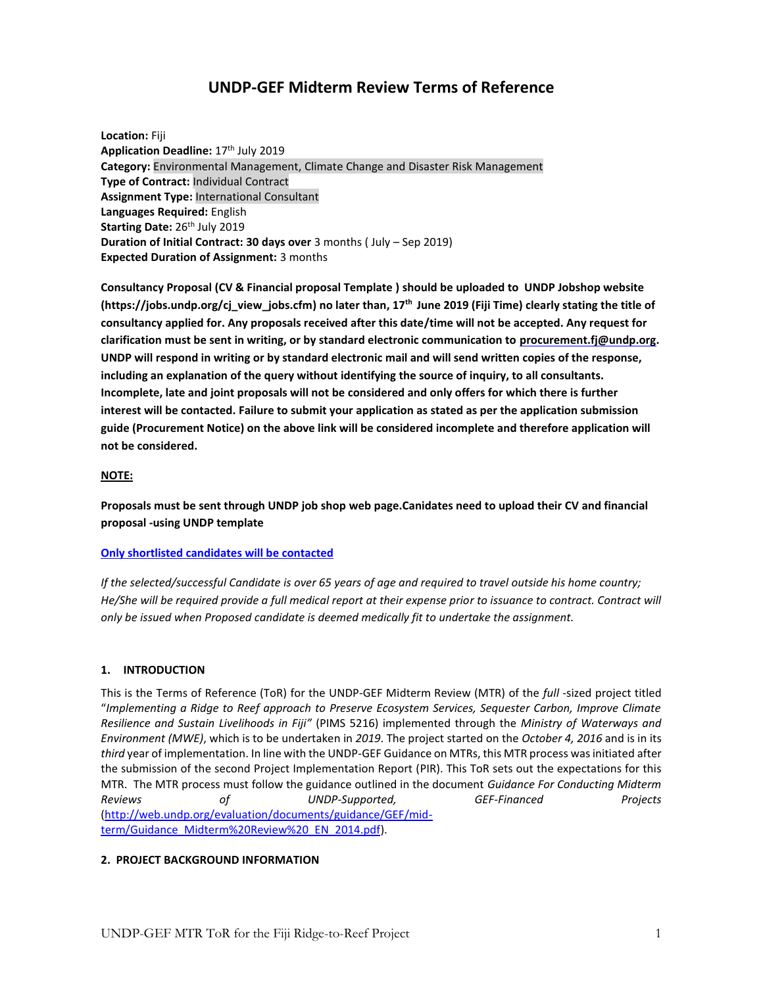# **UNDP-GEF Midterm Review Terms of Reference**

**Location:** Fiji **Application Deadline:** 17<sup>th</sup> July 2019 **Category:** Environmental Management, Climate Change and Disaster Risk Management **Type of Contract:** Individual Contract **Assignment Type:** International Consultant **Languages Required:** English **Starting Date: 26<sup>th</sup> July 2019 Duration of Initial Contract: 30 days over** 3 months ( July – Sep 2019) **Expected Duration of Assignment:** 3 months

**Consultancy Proposal (CV & Financial proposal Template ) should be uploaded to UNDP Jobshop website (https://jobs.undp.org/cj\_view\_jobs.cfm) no later than, 17 th June 2019 (Fiji Time) clearly stating the title of consultancy applied for. Any proposals received after this date/time will not be accepted. Any request for clarification must be sent in writing, or by standard electronic communication to procurement.fj@undp.org. UNDP will respond in writing or by standard electronic mail and will send written copies of the response, including an explanation of the query without identifying the source of inquiry, to all consultants. Incomplete, late and joint proposals will not be considered and only offers for which there is further interest will be contacted. Failure to submit your application as stated as per the application submission guide (Procurement Notice) on the above link will be considered incomplete and therefore application will not be considered.**

#### **NOTE:**

**Proposals must be sent through UNDP job shop web page.Canidates need to upload their CV and financial proposal -using UNDP template** 

#### **Only shortlisted candidates will be contacted**

*If the selected/successful Candidate is over 65 years of age and required to travel outside his home country; He/She will be required provide a full medical report at their expense prior to issuance to contract. Contract will only be issued when Proposed candidate is deemed medically fit to undertake the assignment.* 

#### **1. INTRODUCTION**

This is the Terms of Reference (ToR) for the UNDP-GEF Midterm Review (MTR) of the *full* -sized project titled "*Implementing a Ridge to Reef approach to Preserve Ecosystem Services, Sequester Carbon, Improve Climate Resilience and Sustain Livelihoods in Fiji"* (PIMS 5216) implemented through the *Ministry of Waterways and Environment (MWE)*, which is to be undertaken in *2019*. The project started on the *October 4, 2016* and is in its *third* year of implementation. In line with the UNDP-GEF Guidance on MTRs, this MTR process was initiated after the submission of the second Project Implementation Report (PIR). This ToR sets out the expectations for this MTR. The MTR process must follow the guidance outlined in the document *Guidance For Conducting Midterm Reviews of UNDP-Supported, GEF-Financed Projects* [\(http://web.undp.org/evaluation/documents/guidance/GEF/mid](http://web.undp.org/evaluation/documents/guidance/GEF/mid-term/Guidance_Midterm%20Review%20_EN_2014.pdf)[term/Guidance\\_Midterm%20Review%20\\_EN\\_2014.pdf\)](http://web.undp.org/evaluation/documents/guidance/GEF/mid-term/Guidance_Midterm%20Review%20_EN_2014.pdf).

## **2. PROJECT BACKGROUND INFORMATION**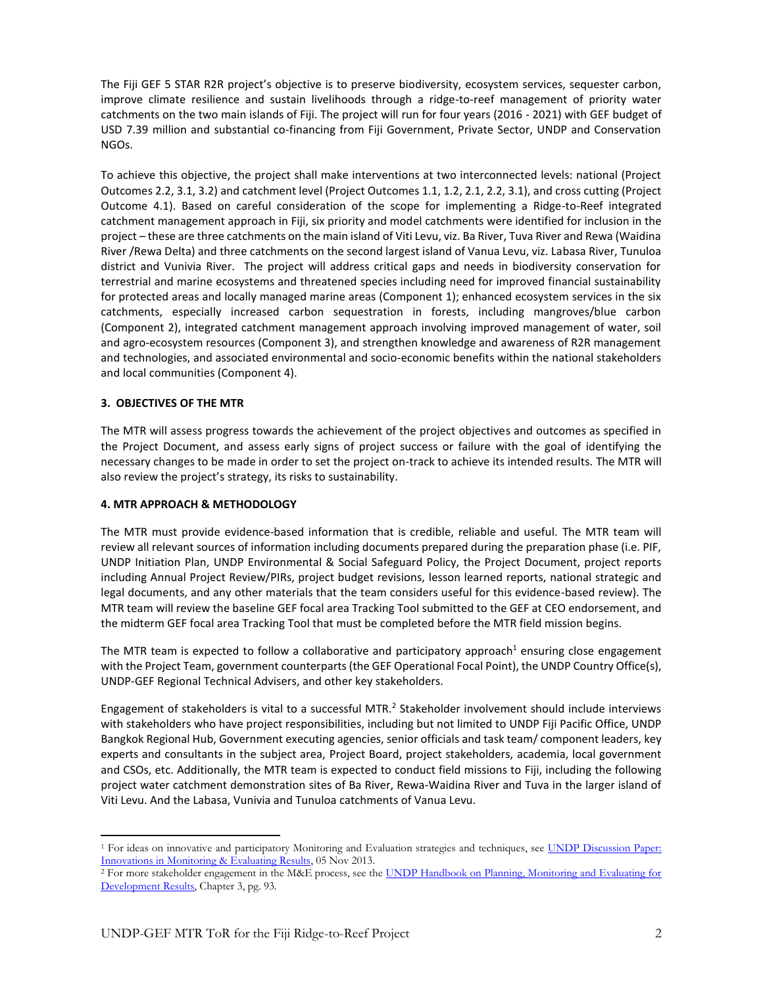The Fiji GEF 5 STAR R2R project's objective is to preserve biodiversity, ecosystem services, sequester carbon, improve climate resilience and sustain livelihoods through a ridge-to-reef management of priority water catchments on the two main islands of Fiji. The project will run for four years (2016 - 2021) with GEF budget of USD 7.39 million and substantial co-financing from Fiji Government, Private Sector, UNDP and Conservation NGOs.

To achieve this objective, the project shall make interventions at two interconnected levels: national (Project Outcomes 2.2, 3.1, 3.2) and catchment level (Project Outcomes 1.1, 1.2, 2.1, 2.2, 3.1), and cross cutting (Project Outcome 4.1). Based on careful consideration of the scope for implementing a Ridge-to-Reef integrated catchment management approach in Fiji, six priority and model catchments were identified for inclusion in the project – these are three catchments on the main island of Viti Levu, viz. Ba River, Tuva River and Rewa (Waidina River /Rewa Delta) and three catchments on the second largest island of Vanua Levu, viz. Labasa River, Tunuloa district and Vunivia River. The project will address critical gaps and needs in biodiversity conservation for terrestrial and marine ecosystems and threatened species including need for improved financial sustainability for protected areas and locally managed marine areas (Component 1); enhanced ecosystem services in the six catchments, especially increased carbon sequestration in forests, including mangroves/blue carbon (Component 2), integrated catchment management approach involving improved management of water, soil and agro-ecosystem resources (Component 3), and strengthen knowledge and awareness of R2R management and technologies, and associated environmental and socio-economic benefits within the national stakeholders and local communities (Component 4).

## **3. OBJECTIVES OF THE MTR**

 $\overline{a}$ 

The MTR will assess progress towards the achievement of the project objectives and outcomes as specified in the Project Document, and assess early signs of project success or failure with the goal of identifying the necessary changes to be made in order to set the project on-track to achieve its intended results. The MTR will also review the project's strategy, its risks to sustainability.

#### **4. MTR APPROACH & METHODOLOGY**

The MTR must provide evidence-based information that is credible, reliable and useful. The MTR team will review all relevant sources of information including documents prepared during the preparation phase (i.e. PIF, UNDP Initiation Plan, UNDP Environmental & Social Safeguard Policy, the Project Document, project reports including Annual Project Review/PIRs, project budget revisions, lesson learned reports, national strategic and legal documents, and any other materials that the team considers useful for this evidence-based review). The MTR team will review the baseline GEF focal area Tracking Tool submitted to the GEF at CEO endorsement, and the midterm GEF focal area Tracking Tool that must be completed before the MTR field mission begins.

The MTR team is expected to follow a collaborative and participatory approach<sup>1</sup> ensuring close engagement with the Project Team, government counterparts (the GEF Operational Focal Point), the UNDP Country Office(s), UNDP-GEF Regional Technical Advisers, and other key stakeholders.

Engagement of stakeholders is vital to a successful MTR.<sup>2</sup> Stakeholder involvement should include interviews with stakeholders who have project responsibilities, including but not limited to UNDP Fiji Pacific Office, UNDP Bangkok Regional Hub, Government executing agencies, senior officials and task team/ component leaders, key experts and consultants in the subject area, Project Board, project stakeholders, academia, local government and CSOs, etc. Additionally, the MTR team is expected to conduct field missions to Fiji, including the following project water catchment demonstration sites of Ba River, Rewa-Waidina River and Tuva in the larger island of Viti Levu. And the Labasa, Vunivia and Tunuloa catchments of Vanua Levu.

<sup>&</sup>lt;sup>1</sup> For ideas on innovative and participatory Monitoring and Evaluation strategies and techniques, see UNDP Discussion Paper: [Innovations in Monitoring & Evaluating Results,](http://www.undp.org/content/undp/en/home/librarypage/capacity-building/discussion-paper--innovations-in-monitoring---evaluating-results/) 05 Nov 2013.

<sup>&</sup>lt;sup>2</sup> For more stakeholder engagement in the M&E process, see the UNDP Handbook on Planning, Monitoring and Evaluating for [Development Results,](http://www.undg.org/docs/11653/UNDP-PME-Handbook-(2009).pdf) Chapter 3, pg. 93.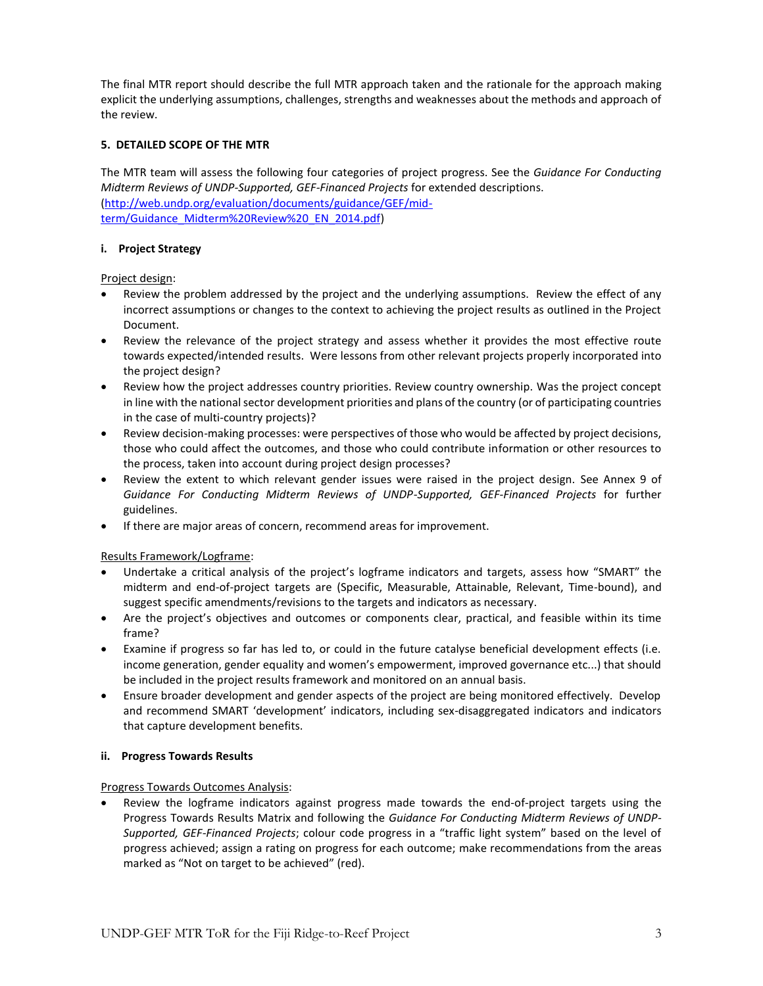The final MTR report should describe the full MTR approach taken and the rationale for the approach making explicit the underlying assumptions, challenges, strengths and weaknesses about the methods and approach of the review.

# **5. DETAILED SCOPE OF THE MTR**

The MTR team will assess the following four categories of project progress. See the *Guidance For Conducting Midterm Reviews of UNDP-Supported, GEF-Financed Projects* for extended descriptions. [\(http://web.undp.org/evaluation/documents/guidance/GEF/mid](http://web.undp.org/evaluation/documents/guidance/GEF/mid-term/Guidance_Midterm%20Review%20_EN_2014.pdf)[term/Guidance\\_Midterm%20Review%20\\_EN\\_2014.pdf\)](http://web.undp.org/evaluation/documents/guidance/GEF/mid-term/Guidance_Midterm%20Review%20_EN_2014.pdf)

## **i. Project Strategy**

#### Project design:

- Review the problem addressed by the project and the underlying assumptions. Review the effect of any incorrect assumptions or changes to the context to achieving the project results as outlined in the Project Document.
- Review the relevance of the project strategy and assess whether it provides the most effective route towards expected/intended results. Were lessons from other relevant projects properly incorporated into the project design?
- Review how the project addresses country priorities. Review country ownership. Was the project concept in line with the national sector development priorities and plans of the country (or of participating countries in the case of multi-country projects)?
- Review decision-making processes: were perspectives of those who would be affected by project decisions, those who could affect the outcomes, and those who could contribute information or other resources to the process, taken into account during project design processes?
- Review the extent to which relevant gender issues were raised in the project design. See Annex 9 of *Guidance For Conducting Midterm Reviews of UNDP-Supported, GEF-Financed Projects* for further guidelines.
- If there are major areas of concern, recommend areas for improvement.

## Results Framework/Logframe:

- Undertake a critical analysis of the project's logframe indicators and targets, assess how "SMART" the midterm and end-of-project targets are (Specific, Measurable, Attainable, Relevant, Time-bound), and suggest specific amendments/revisions to the targets and indicators as necessary.
- Are the project's objectives and outcomes or components clear, practical, and feasible within its time frame?
- Examine if progress so far has led to, or could in the future catalyse beneficial development effects (i.e. income generation, gender equality and women's empowerment, improved governance etc...) that should be included in the project results framework and monitored on an annual basis.
- Ensure broader development and gender aspects of the project are being monitored effectively. Develop and recommend SMART 'development' indicators, including sex-disaggregated indicators and indicators that capture development benefits.

## **ii. Progress Towards Results**

## Progress Towards Outcomes Analysis:

• Review the logframe indicators against progress made towards the end-of-project targets using the Progress Towards Results Matrix and following the *Guidance For Conducting Midterm Reviews of UNDP-Supported, GEF-Financed Projects*; colour code progress in a "traffic light system" based on the level of progress achieved; assign a rating on progress for each outcome; make recommendations from the areas marked as "Not on target to be achieved" (red).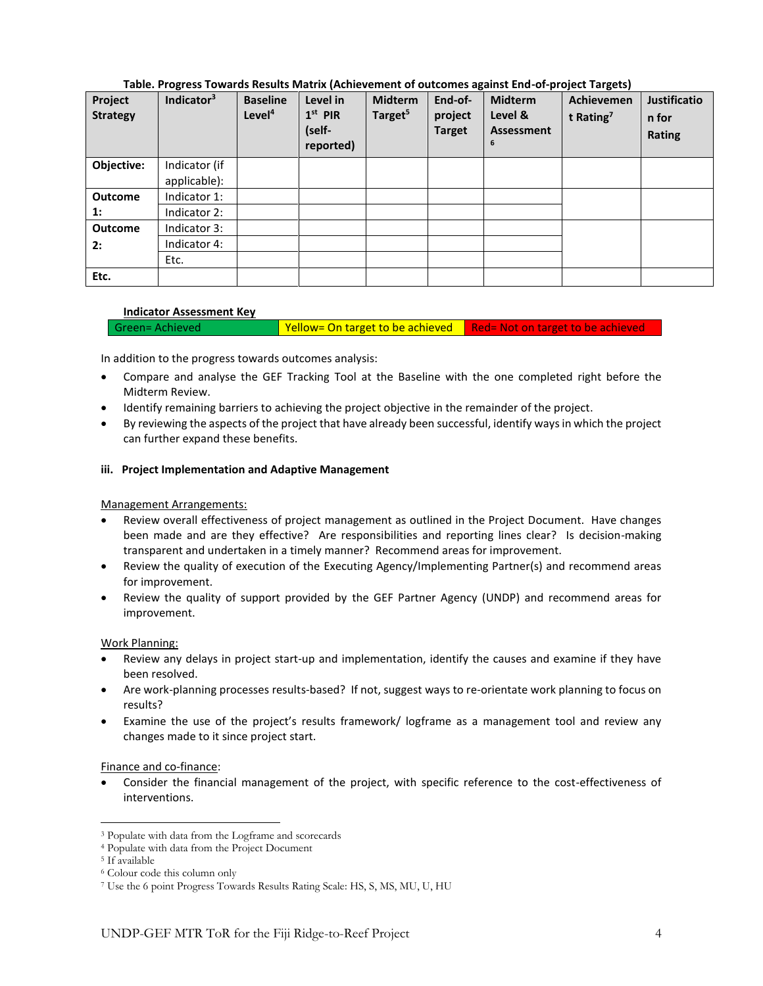# **Table. Progress Towards Results Matrix (Achievement of outcomes against End-of-project Targets)**

| Project<br><b>Strategy</b> | Indicator <sup>3</sup> | <b>Baseline</b><br>Level <sup>4</sup> | Level in<br>$1st$ PIR<br>(self-<br>reported) | <b>Midterm</b><br>Target <sup>5</sup> | End-of-<br>project<br><b>Target</b> | <b>Midterm</b><br>Level &<br><b>Assessment</b><br>6 | <b>Achievemen</b><br>t Rating <sup>7</sup> | <b>Justificatio</b><br>n for<br>Rating |
|----------------------------|------------------------|---------------------------------------|----------------------------------------------|---------------------------------------|-------------------------------------|-----------------------------------------------------|--------------------------------------------|----------------------------------------|
| Objective:                 | Indicator (if          |                                       |                                              |                                       |                                     |                                                     |                                            |                                        |
|                            | applicable):           |                                       |                                              |                                       |                                     |                                                     |                                            |                                        |
| <b>Outcome</b>             | Indicator 1:           |                                       |                                              |                                       |                                     |                                                     |                                            |                                        |
| $\mathbf{1}$ :             | Indicator 2:           |                                       |                                              |                                       |                                     |                                                     |                                            |                                        |
| <b>Outcome</b>             | Indicator 3:           |                                       |                                              |                                       |                                     |                                                     |                                            |                                        |
| 2:                         | Indicator 4:           |                                       |                                              |                                       |                                     |                                                     |                                            |                                        |
|                            | Etc.                   |                                       |                                              |                                       |                                     |                                                     |                                            |                                        |
| Etc.                       |                        |                                       |                                              |                                       |                                     |                                                     |                                            |                                        |

## **Indicator Assessment Key**

| Green= Achieved r | <u>  Yellow= On target to be achieved   Red= Not on target to be achieved</u> |
|-------------------|-------------------------------------------------------------------------------|
|                   |                                                                               |

In addition to the progress towards outcomes analysis:

- Compare and analyse the GEF Tracking Tool at the Baseline with the one completed right before the Midterm Review.
- Identify remaining barriers to achieving the project objective in the remainder of the project.
- By reviewing the aspects of the project that have already been successful, identify ways in which the project can further expand these benefits.

#### **iii. Project Implementation and Adaptive Management**

#### Management Arrangements:

- Review overall effectiveness of project management as outlined in the Project Document. Have changes been made and are they effective? Are responsibilities and reporting lines clear? Is decision-making transparent and undertaken in a timely manner? Recommend areas for improvement.
- Review the quality of execution of the Executing Agency/Implementing Partner(s) and recommend areas for improvement.
- Review the quality of support provided by the GEF Partner Agency (UNDP) and recommend areas for improvement.

#### Work Planning:

- Review any delays in project start-up and implementation, identify the causes and examine if they have been resolved.
- Are work-planning processes results-based? If not, suggest ways to re-orientate work planning to focus on results?
- Examine the use of the project's results framework/ logframe as a management tool and review any changes made to it since project start.

#### Finance and co-finance:

• Consider the financial management of the project, with specific reference to the cost-effectiveness of interventions.

 $\overline{\phantom{a}}$ 

<sup>3</sup> Populate with data from the Logframe and scorecards

<sup>4</sup> Populate with data from the Project Document

<sup>5</sup> If available

<sup>6</sup> Colour code this column only

<sup>7</sup> Use the 6 point Progress Towards Results Rating Scale: HS, S, MS, MU, U, HU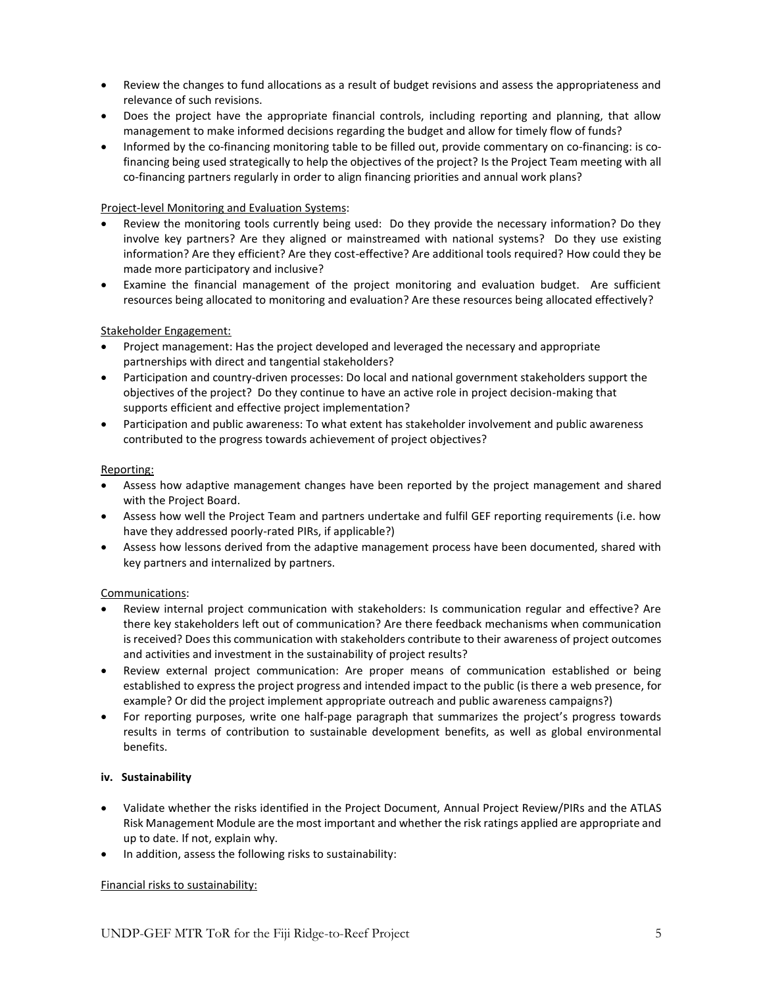- Review the changes to fund allocations as a result of budget revisions and assess the appropriateness and relevance of such revisions.
- Does the project have the appropriate financial controls, including reporting and planning, that allow management to make informed decisions regarding the budget and allow for timely flow of funds?
- Informed by the co-financing monitoring table to be filled out, provide commentary on co-financing: is cofinancing being used strategically to help the objectives of the project? Is the Project Team meeting with all co-financing partners regularly in order to align financing priorities and annual work plans?

# Project-level Monitoring and Evaluation Systems:

- Review the monitoring tools currently being used: Do they provide the necessary information? Do they involve key partners? Are they aligned or mainstreamed with national systems? Do they use existing information? Are they efficient? Are they cost-effective? Are additional tools required? How could they be made more participatory and inclusive?
- Examine the financial management of the project monitoring and evaluation budget. Are sufficient resources being allocated to monitoring and evaluation? Are these resources being allocated effectively?

# Stakeholder Engagement:

- Project management: Has the project developed and leveraged the necessary and appropriate partnerships with direct and tangential stakeholders?
- Participation and country-driven processes: Do local and national government stakeholders support the objectives of the project? Do they continue to have an active role in project decision-making that supports efficient and effective project implementation?
- Participation and public awareness: To what extent has stakeholder involvement and public awareness contributed to the progress towards achievement of project objectives?

## Reporting:

- Assess how adaptive management changes have been reported by the project management and shared with the Project Board.
- Assess how well the Project Team and partners undertake and fulfil GEF reporting requirements (i.e. how have they addressed poorly-rated PIRs, if applicable?)
- Assess how lessons derived from the adaptive management process have been documented, shared with key partners and internalized by partners.

## Communications:

- Review internal project communication with stakeholders: Is communication regular and effective? Are there key stakeholders left out of communication? Are there feedback mechanisms when communication is received? Does this communication with stakeholders contribute to their awareness of project outcomes and activities and investment in the sustainability of project results?
- Review external project communication: Are proper means of communication established or being established to express the project progress and intended impact to the public (is there a web presence, for example? Or did the project implement appropriate outreach and public awareness campaigns?)
- For reporting purposes, write one half-page paragraph that summarizes the project's progress towards results in terms of contribution to sustainable development benefits, as well as global environmental benefits.

## **iv. Sustainability**

- Validate whether the risks identified in the Project Document, Annual Project Review/PIRs and the ATLAS Risk Management Module are the most important and whether the risk ratings applied are appropriate and up to date. If not, explain why.
- In addition, assess the following risks to sustainability:

## Financial risks to sustainability: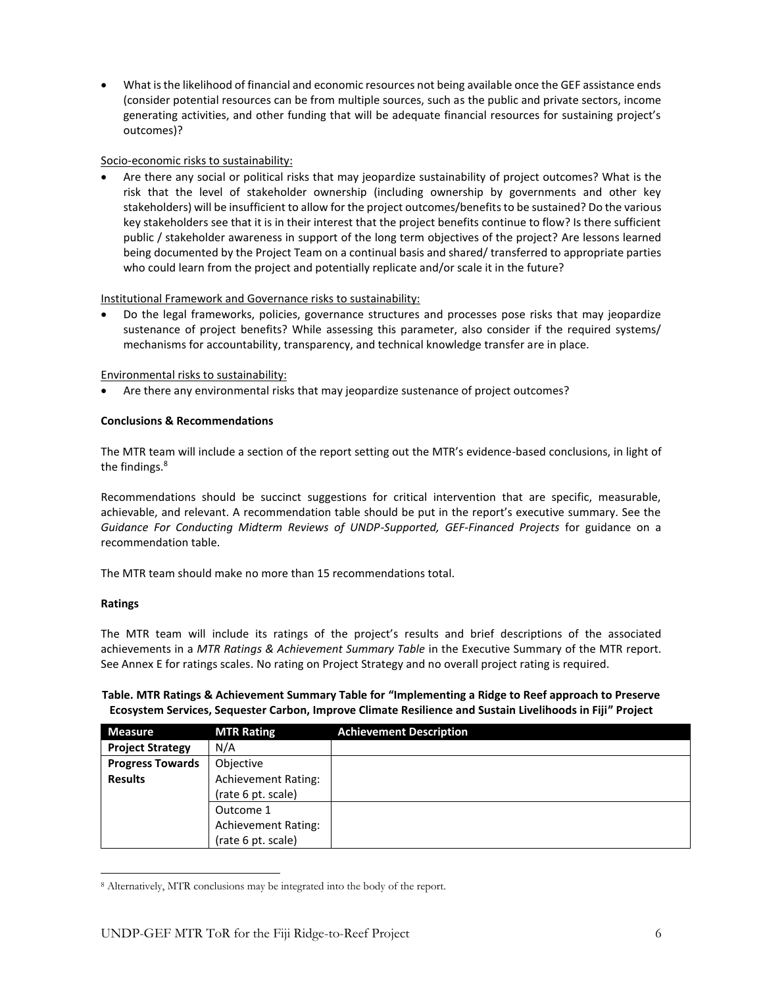• What is the likelihood of financial and economic resources not being available once the GEF assistance ends (consider potential resources can be from multiple sources, such as the public and private sectors, income generating activities, and other funding that will be adequate financial resources for sustaining project's outcomes)?

# Socio-economic risks to sustainability:

• Are there any social or political risks that may jeopardize sustainability of project outcomes? What is the risk that the level of stakeholder ownership (including ownership by governments and other key stakeholders) will be insufficient to allow for the project outcomes/benefits to be sustained? Do the various key stakeholders see that it is in their interest that the project benefits continue to flow? Is there sufficient public / stakeholder awareness in support of the long term objectives of the project? Are lessons learned being documented by the Project Team on a continual basis and shared/ transferred to appropriate parties who could learn from the project and potentially replicate and/or scale it in the future?

# Institutional Framework and Governance risks to sustainability:

• Do the legal frameworks, policies, governance structures and processes pose risks that may jeopardize sustenance of project benefits? While assessing this parameter, also consider if the required systems/ mechanisms for accountability, transparency, and technical knowledge transfer are in place.

# Environmental risks to sustainability:

• Are there any environmental risks that may jeopardize sustenance of project outcomes?

# **Conclusions & Recommendations**

The MTR team will include a section of the report setting out the MTR's evidence-based conclusions, in light of the findings.<sup>8</sup>

Recommendations should be succinct suggestions for critical intervention that are specific, measurable, achievable, and relevant. A recommendation table should be put in the report's executive summary. See the *Guidance For Conducting Midterm Reviews of UNDP-Supported, GEF-Financed Projects* for guidance on a recommendation table.

The MTR team should make no more than 15 recommendations total.

## **Ratings**

 $\overline{a}$ 

The MTR team will include its ratings of the project's results and brief descriptions of the associated achievements in a *MTR Ratings & Achievement Summary Table* in the Executive Summary of the MTR report. See Annex E for ratings scales. No rating on Project Strategy and no overall project rating is required.

# **Table. MTR Ratings & Achievement Summary Table for "Implementing a Ridge to Reef approach to Preserve Ecosystem Services, Sequester Carbon, Improve Climate Resilience and Sustain Livelihoods in Fiji" Project**

| <b>Measure</b>          | <b>MTR Rating</b>          | <b>Achievement Description</b> |
|-------------------------|----------------------------|--------------------------------|
| <b>Project Strategy</b> | N/A                        |                                |
| <b>Progress Towards</b> | Objective                  |                                |
| <b>Results</b>          | <b>Achievement Rating:</b> |                                |
|                         | (rate 6 pt. scale)         |                                |
|                         | Outcome 1                  |                                |
|                         | <b>Achievement Rating:</b> |                                |
|                         | (rate 6 pt. scale)         |                                |

<sup>8</sup> Alternatively, MTR conclusions may be integrated into the body of the report.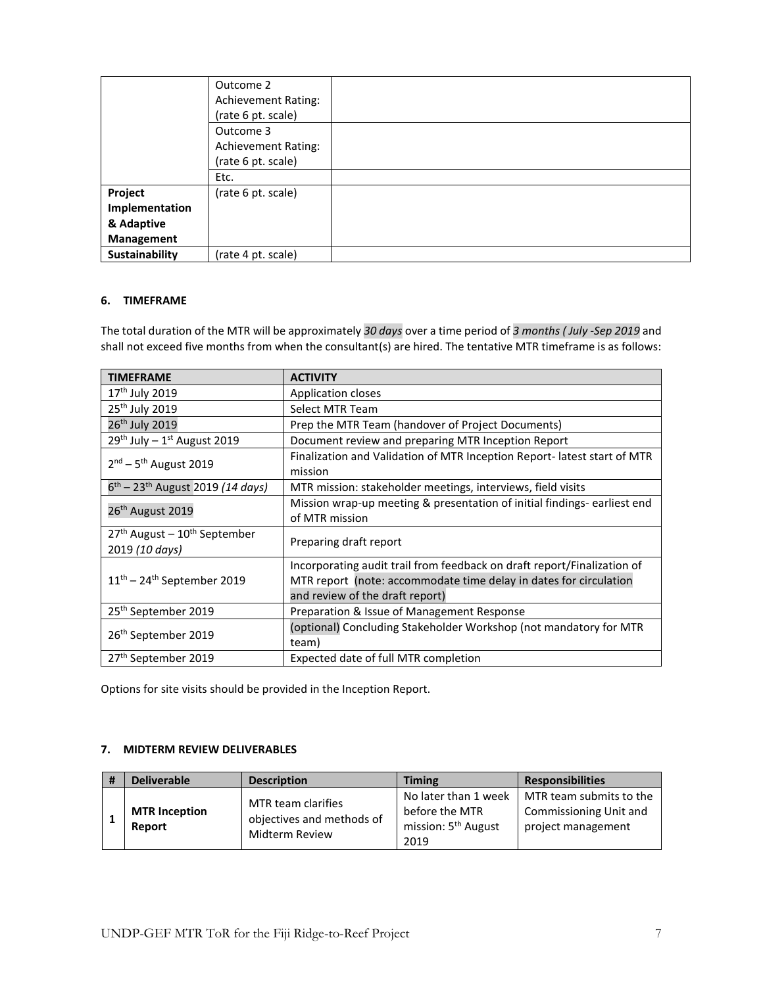|                | Outcome 2                  |  |
|----------------|----------------------------|--|
|                | <b>Achievement Rating:</b> |  |
|                | (rate 6 pt. scale)         |  |
|                | Outcome 3                  |  |
|                | <b>Achievement Rating:</b> |  |
|                | (rate 6 pt. scale)         |  |
|                | Etc.                       |  |
| Project        | (rate 6 pt. scale)         |  |
| Implementation |                            |  |
| & Adaptive     |                            |  |
| Management     |                            |  |
| Sustainability | (rate 4 pt. scale)         |  |

#### **6. TIMEFRAME**

The total duration of the MTR will be approximately *30 days* over a time period of *3 months ( July -Sep 2019* and shall not exceed five months from when the consultant(s) are hired. The tentative MTR timeframe is as follows:

| <b>TIMEFRAME</b>                                                       | <b>ACTIVITY</b>                                                                                                                                                                 |
|------------------------------------------------------------------------|---------------------------------------------------------------------------------------------------------------------------------------------------------------------------------|
| 17 <sup>th</sup> July 2019                                             | Application closes                                                                                                                                                              |
| 25 <sup>th</sup> July 2019                                             | Select MTR Team                                                                                                                                                                 |
| 26 <sup>th</sup> July 2019                                             | Prep the MTR Team (handover of Project Documents)                                                                                                                               |
| $29th$ July - 1 <sup>st</sup> August 2019                              | Document review and preparing MTR Inception Report                                                                                                                              |
| $2nd - 5th$ August 2019                                                | Finalization and Validation of MTR Inception Report-latest start of MTR<br>mission                                                                                              |
| $6^{th}$ – 23 <sup>th</sup> August 2019 (14 days)                      | MTR mission: stakeholder meetings, interviews, field visits                                                                                                                     |
| 26 <sup>th</sup> August 2019                                           | Mission wrap-up meeting & presentation of initial findings-earliest end<br>of MTR mission                                                                                       |
| 27 <sup>th</sup> August - 10 <sup>th</sup> September<br>2019 (10 days) | Preparing draft report                                                                                                                                                          |
| $11th - 24th$ September 2019                                           | Incorporating audit trail from feedback on draft report/Finalization of<br>MTR report (note: accommodate time delay in dates for circulation<br>and review of the draft report) |
| 25 <sup>th</sup> September 2019                                        | Preparation & Issue of Management Response                                                                                                                                      |
| 26 <sup>th</sup> September 2019                                        | (optional) Concluding Stakeholder Workshop (not mandatory for MTR<br>team)                                                                                                      |
| 27 <sup>th</sup> September 2019                                        | Expected date of full MTR completion                                                                                                                                            |

Options for site visits should be provided in the Inception Report.

# **7. MIDTERM REVIEW DELIVERABLES**

| <b>Deliverable</b>             | <b>Description</b>                                                | <b>Timing</b>                                                                     | <b>Responsibilities</b>                                                 |
|--------------------------------|-------------------------------------------------------------------|-----------------------------------------------------------------------------------|-------------------------------------------------------------------------|
| <b>MTR Inception</b><br>Report | MTR team clarifies<br>objectives and methods of<br>Midterm Review | No later than 1 week<br>before the MTR<br>mission: 5 <sup>th</sup> August<br>2019 | MTR team submits to the<br>Commissioning Unit and<br>project management |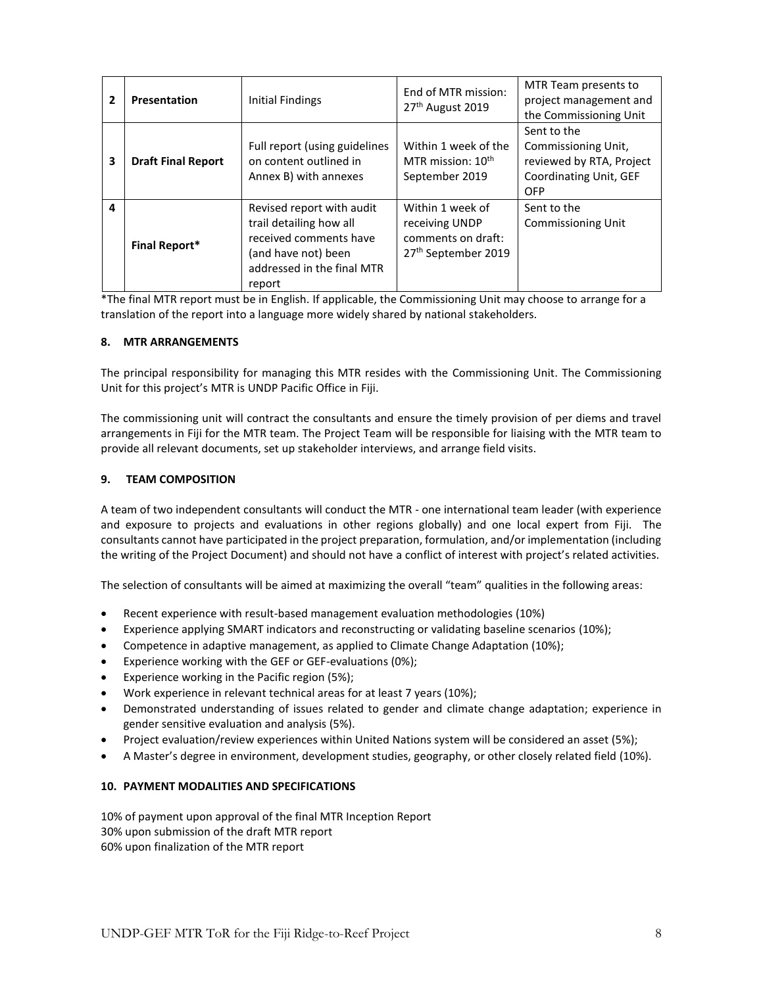| $\mathbf{2}$ | <b>Presentation</b>       | Initial Findings                                                                                                                              | End of MTR mission:<br>27 <sup>th</sup> August 2019                                         | MTR Team presents to<br>project management and<br>the Commissioning Unit                               |
|--------------|---------------------------|-----------------------------------------------------------------------------------------------------------------------------------------------|---------------------------------------------------------------------------------------------|--------------------------------------------------------------------------------------------------------|
| 3            | <b>Draft Final Report</b> | Full report (using guidelines<br>on content outlined in<br>Annex B) with annexes                                                              | Within 1 week of the<br>MTR mission: $10^{th}$<br>September 2019                            | Sent to the<br>Commissioning Unit,<br>reviewed by RTA, Project<br>Coordinating Unit, GEF<br><b>OFP</b> |
| 4            | <b>Final Report*</b>      | Revised report with audit<br>trail detailing how all<br>received comments have<br>(and have not) been<br>addressed in the final MTR<br>report | Within 1 week of<br>receiving UNDP<br>comments on draft:<br>27 <sup>th</sup> September 2019 | Sent to the<br><b>Commissioning Unit</b>                                                               |

\*The final MTR report must be in English. If applicable, the Commissioning Unit may choose to arrange for a translation of the report into a language more widely shared by national stakeholders.

#### **8. MTR ARRANGEMENTS**

The principal responsibility for managing this MTR resides with the Commissioning Unit. The Commissioning Unit for this project's MTR is UNDP Pacific Office in Fiji.

The commissioning unit will contract the consultants and ensure the timely provision of per diems and travel arrangements in Fiji for the MTR team. The Project Team will be responsible for liaising with the MTR team to provide all relevant documents, set up stakeholder interviews, and arrange field visits.

#### **9. TEAM COMPOSITION**

A team of two independent consultants will conduct the MTR - one international team leader (with experience and exposure to projects and evaluations in other regions globally) and one local expert from Fiji. The consultants cannot have participated in the project preparation, formulation, and/or implementation (including the writing of the Project Document) and should not have a conflict of interest with project's related activities.

The selection of consultants will be aimed at maximizing the overall "team" qualities in the following areas:

- Recent experience with result-based management evaluation methodologies (10%)
- Experience applying SMART indicators and reconstructing or validating baseline scenarios (10%);
- Competence in adaptive management, as applied to Climate Change Adaptation (10%);
- Experience working with the GEF or GEF-evaluations (0%);
- Experience working in the Pacific region (5%);
- Work experience in relevant technical areas for at least 7 years (10%);
- Demonstrated understanding of issues related to gender and climate change adaptation; experience in gender sensitive evaluation and analysis (5%).
- Project evaluation/review experiences within United Nations system will be considered an asset (5%);
- A Master's degree in environment, development studies, geography, or other closely related field (10%).

#### **10. PAYMENT MODALITIES AND SPECIFICATIONS**

10% of payment upon approval of the final MTR Inception Report 30% upon submission of the draft MTR report 60% upon finalization of the MTR report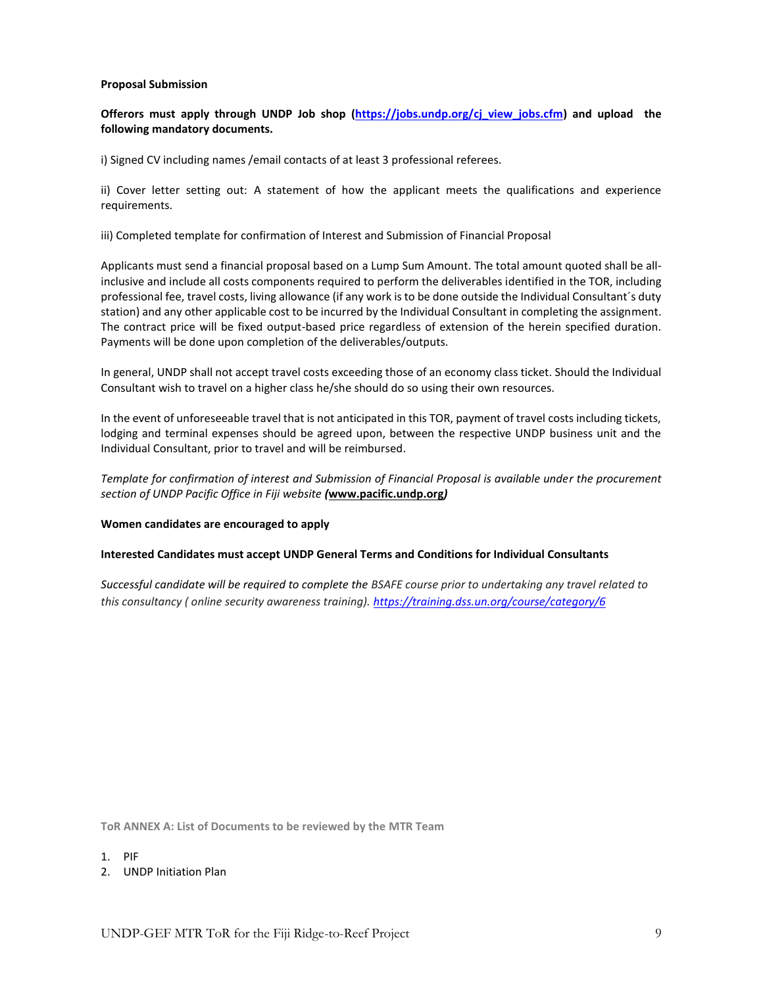#### **Proposal Submission**

**Offerors must apply through UNDP Job shop [\(https://jobs.undp.org/cj\\_view\\_jobs.cfm\)](https://jobs.undp.org/cj_view_jobs.cfm) and upload the following mandatory documents.** 

i) Signed CV including names /email contacts of at least 3 professional referees.

ii) Cover letter setting out: A statement of how the applicant meets the qualifications and experience requirements.

iii) Completed template for confirmation of Interest and Submission of Financial Proposal

Applicants must send a financial proposal based on a Lump Sum Amount. The total amount quoted shall be allinclusive and include all costs components required to perform the deliverables identified in the TOR, including professional fee, travel costs, living allowance (if any work is to be done outside the Individual Consultant´s duty station) and any other applicable cost to be incurred by the Individual Consultant in completing the assignment. The contract price will be fixed output-based price regardless of extension of the herein specified duration. Payments will be done upon completion of the deliverables/outputs.

In general, UNDP shall not accept travel costs exceeding those of an economy class ticket. Should the Individual Consultant wish to travel on a higher class he/she should do so using their own resources.

In the event of unforeseeable travel that is not anticipated in this TOR, payment of travel costs including tickets, lodging and terminal expenses should be agreed upon, between the respective UNDP business unit and the Individual Consultant, prior to travel and will be reimbursed.

*Template for confirmation of interest and Submission of Financial Proposal is available under the procurement section of UNDP Pacific Office in Fiji website (***[www.pacific.undp.org](file:///C:/Users/Vimal.Pillay/AppData/Local/Microsoft/Windows/INetCache/Content.Outlook/AppData/Local/Microsoft/Windows/Temporary%20Internet%20Files/Vimal.Pillay/AppData/Local/Microsoft/Windows/INetCache/Content.Outlook/CHHB5VEN/www.pacific.undp.org)***)* 

#### **Women candidates are encouraged to apply**

#### **Interested Candidates must accept UNDP General Terms and Conditions for Individual Consultants**

*Successful candidate will be required to complete the BSAFE course prior to undertaking any travel related to this consultancy ( online security awareness training)[. https://training.dss.un.org/course/category/6](https://emea01.safelinks.protection.outlook.com/?url=https%3A%2F%2Ftraining.dss.un.org%2Fcourse%2Fcategory%2F6&data=02%7C01%7Cvimal.pillay%40undp.org%7C4635a881217b49b6089808d687284233%7Cb3e5db5e2944483799f57488ace54319%7C0%7C0%7C636845004312325204&sdata=GXOHxNfUhxgf3sA%2B1sMOvxNQau13PLgEe0unte9%2FM%2BE%3D&reserved=0)*

**ToR ANNEX A: List of Documents to be reviewed by the MTR Team** 

- 1. PIF
- 2. UNDP Initiation Plan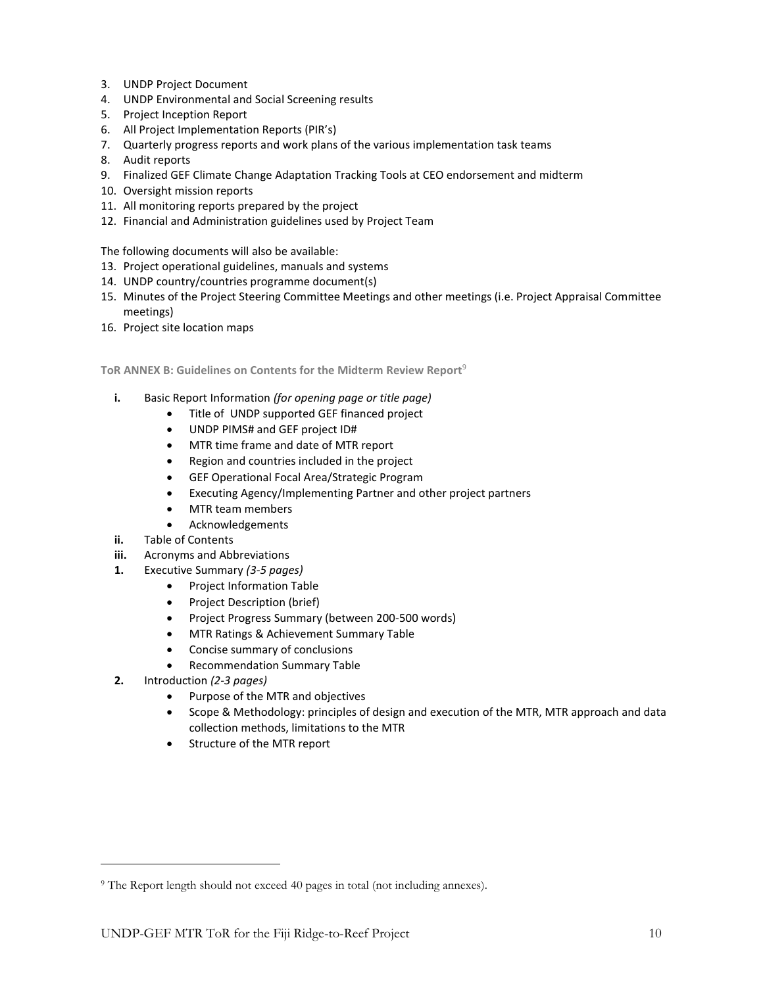- 3. UNDP Project Document
- 4. UNDP Environmental and Social Screening results
- 5. Project Inception Report
- 6. All Project Implementation Reports (PIR's)
- 7. Quarterly progress reports and work plans of the various implementation task teams
- 8. Audit reports
- 9. Finalized GEF Climate Change Adaptation Tracking Tools at CEO endorsement and midterm
- 10. Oversight mission reports
- 11. All monitoring reports prepared by the project
- 12. Financial and Administration guidelines used by Project Team

The following documents will also be available:

- 13. Project operational guidelines, manuals and systems
- 14. UNDP country/countries programme document(s)
- 15. Minutes of the Project Steering Committee Meetings and other meetings (i.e. Project Appraisal Committee meetings)
- 16. Project site location maps

**ToR ANNEX B: Guidelines on Contents for the Midterm Review Report**<sup>9</sup>

- **i.** Basic Report Information *(for opening page or title page)*
	- Title of UNDP supported GEF financed project
	- UNDP PIMS# and GEF project ID#
	- MTR time frame and date of MTR report
	- Region and countries included in the project
	- GEF Operational Focal Area/Strategic Program
	- Executing Agency/Implementing Partner and other project partners
	- MTR team members
	- Acknowledgements
- **ii.** Table of Contents
- **iii.** Acronyms and Abbreviations
- **1.** Executive Summary *(3-5 pages)*
	- Project Information Table
	- Project Description (brief)
	- Project Progress Summary (between 200-500 words)
	- MTR Ratings & Achievement Summary Table
	- Concise summary of conclusions
	- Recommendation Summary Table
- **2.** Introduction *(2-3 pages)*

 $\overline{\phantom{a}}$ 

- Purpose of the MTR and objectives
- Scope & Methodology: principles of design and execution of the MTR, MTR approach and data collection methods, limitations to the MTR
- Structure of the MTR report

<sup>9</sup> The Report length should not exceed 40 pages in total (not including annexes).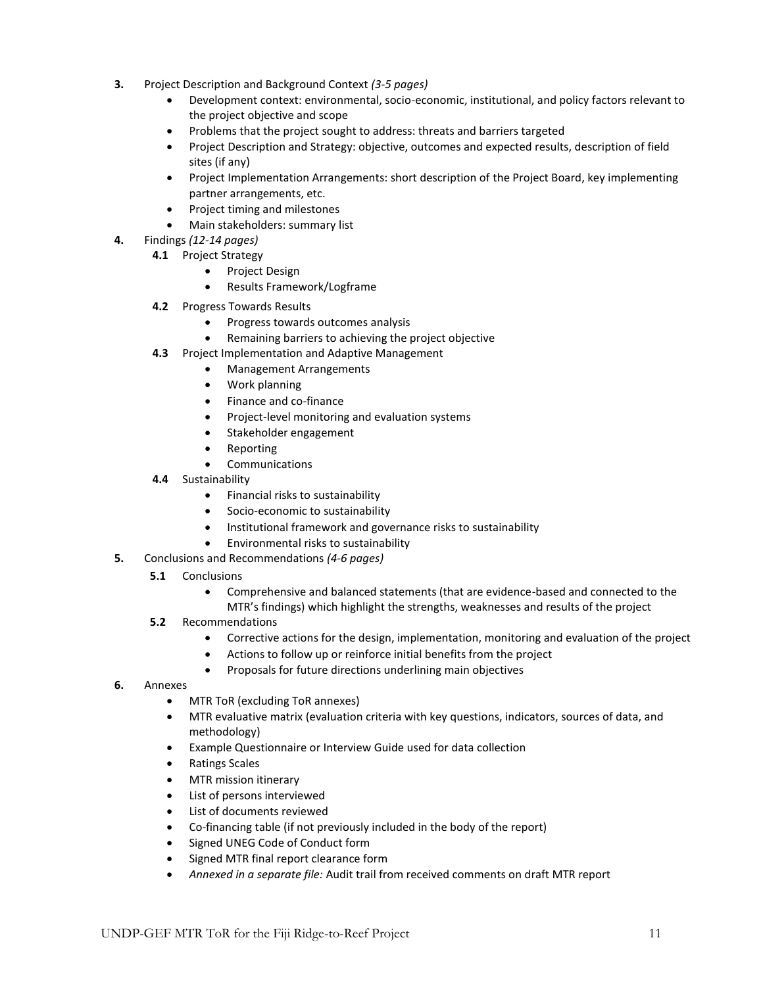- **3.** Project Description and Background Context *(3-5 pages)*
	- Development context: environmental, socio-economic, institutional, and policy factors relevant to the project objective and scope
	- Problems that the project sought to address: threats and barriers targeted
	- Project Description and Strategy: objective, outcomes and expected results, description of field sites (if any)
	- Project Implementation Arrangements: short description of the Project Board, key implementing partner arrangements, etc.
	- Project timing and milestones
	- Main stakeholders: summary list
- **4.** Findings *(12-14 pages)*
	- **4.1** Project Strategy
		- Project Design
		- Results Framework/Logframe
	- **4.2** Progress Towards Results
		- Progress towards outcomes analysis
		- Remaining barriers to achieving the project objective
	- **4.3** Project Implementation and Adaptive Management
		- Management Arrangements
		- Work planning
		- Finance and co-finance
		- Project-level monitoring and evaluation systems
		- Stakeholder engagement
		- **Reporting**
		- **Communications**
	- **4.4** Sustainability
		- Financial risks to sustainability
		- Socio-economic to sustainability
		- Institutional framework and governance risks to sustainability
		- Environmental risks to sustainability
- **5.** Conclusions and Recommendations *(4-6 pages)*
	- **5.1**  Conclusions
		- Comprehensive and balanced statements (that are evidence-based and connected to the MTR's findings) which highlight the strengths, weaknesses and results of the project
	- **5.2** Recommendations
		- Corrective actions for the design, implementation, monitoring and evaluation of the project
		- Actions to follow up or reinforce initial benefits from the project
		- Proposals for future directions underlining main objectives
- **6.** Annexes
	- MTR ToR (excluding ToR annexes)
	- MTR evaluative matrix (evaluation criteria with key questions, indicators, sources of data, and methodology)
	- Example Questionnaire or Interview Guide used for data collection
	- Ratings Scales
	- MTR mission itinerary
	- List of persons interviewed
	- List of documents reviewed
	- Co-financing table (if not previously included in the body of the report)
	- Signed UNEG Code of Conduct form
	- Signed MTR final report clearance form
	- *Annexed in a separate file:* Audit trail from received comments on draft MTR report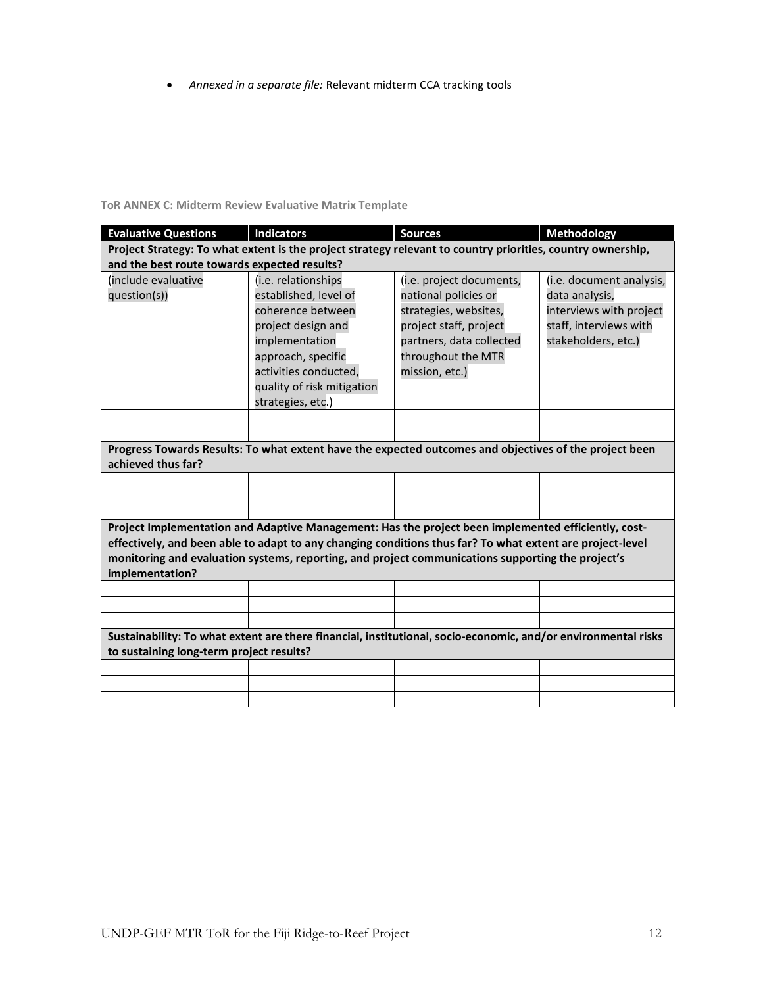• *Annexed in a separate file:* Relevant midterm CCA tracking tools

# **ToR ANNEX C: Midterm Review Evaluative Matrix Template**

| <b>Evaluative Questions</b>                                                                                                                                                                                                                                                                                                              | <b>Indicators</b>                                                                                                                                        | <b>Sources</b>                                                                                                                                                          | Methodology                                                                                                            |  |  |
|------------------------------------------------------------------------------------------------------------------------------------------------------------------------------------------------------------------------------------------------------------------------------------------------------------------------------------------|----------------------------------------------------------------------------------------------------------------------------------------------------------|-------------------------------------------------------------------------------------------------------------------------------------------------------------------------|------------------------------------------------------------------------------------------------------------------------|--|--|
|                                                                                                                                                                                                                                                                                                                                          | Project Strategy: To what extent is the project strategy relevant to country priorities, country ownership,                                              |                                                                                                                                                                         |                                                                                                                        |  |  |
|                                                                                                                                                                                                                                                                                                                                          | and the best route towards expected results?                                                                                                             |                                                                                                                                                                         |                                                                                                                        |  |  |
| (include evaluative<br>question(s))                                                                                                                                                                                                                                                                                                      | (i.e. relationships<br>established, level of<br>coherence between<br>project design and<br>implementation<br>approach, specific<br>activities conducted, | (i.e. project documents,<br>national policies or<br>strategies, websites,<br>project staff, project<br>partners, data collected<br>throughout the MTR<br>mission, etc.) | (i.e. document analysis,<br>data analysis,<br>interviews with project<br>staff, interviews with<br>stakeholders, etc.) |  |  |
|                                                                                                                                                                                                                                                                                                                                          | quality of risk mitigation<br>strategies, etc.)                                                                                                          |                                                                                                                                                                         |                                                                                                                        |  |  |
|                                                                                                                                                                                                                                                                                                                                          |                                                                                                                                                          |                                                                                                                                                                         |                                                                                                                        |  |  |
|                                                                                                                                                                                                                                                                                                                                          |                                                                                                                                                          |                                                                                                                                                                         |                                                                                                                        |  |  |
| achieved thus far?                                                                                                                                                                                                                                                                                                                       | Progress Towards Results: To what extent have the expected outcomes and objectives of the project been                                                   |                                                                                                                                                                         |                                                                                                                        |  |  |
|                                                                                                                                                                                                                                                                                                                                          |                                                                                                                                                          |                                                                                                                                                                         |                                                                                                                        |  |  |
|                                                                                                                                                                                                                                                                                                                                          |                                                                                                                                                          |                                                                                                                                                                         |                                                                                                                        |  |  |
|                                                                                                                                                                                                                                                                                                                                          |                                                                                                                                                          |                                                                                                                                                                         |                                                                                                                        |  |  |
| Project Implementation and Adaptive Management: Has the project been implemented efficiently, cost-<br>effectively, and been able to adapt to any changing conditions thus far? To what extent are project-level<br>monitoring and evaluation systems, reporting, and project communications supporting the project's<br>implementation? |                                                                                                                                                          |                                                                                                                                                                         |                                                                                                                        |  |  |
|                                                                                                                                                                                                                                                                                                                                          |                                                                                                                                                          |                                                                                                                                                                         |                                                                                                                        |  |  |
|                                                                                                                                                                                                                                                                                                                                          |                                                                                                                                                          |                                                                                                                                                                         |                                                                                                                        |  |  |
|                                                                                                                                                                                                                                                                                                                                          |                                                                                                                                                          |                                                                                                                                                                         |                                                                                                                        |  |  |
| Sustainability: To what extent are there financial, institutional, socio-economic, and/or environmental risks<br>to sustaining long-term project results?                                                                                                                                                                                |                                                                                                                                                          |                                                                                                                                                                         |                                                                                                                        |  |  |
|                                                                                                                                                                                                                                                                                                                                          |                                                                                                                                                          |                                                                                                                                                                         |                                                                                                                        |  |  |
|                                                                                                                                                                                                                                                                                                                                          |                                                                                                                                                          |                                                                                                                                                                         |                                                                                                                        |  |  |
|                                                                                                                                                                                                                                                                                                                                          |                                                                                                                                                          |                                                                                                                                                                         |                                                                                                                        |  |  |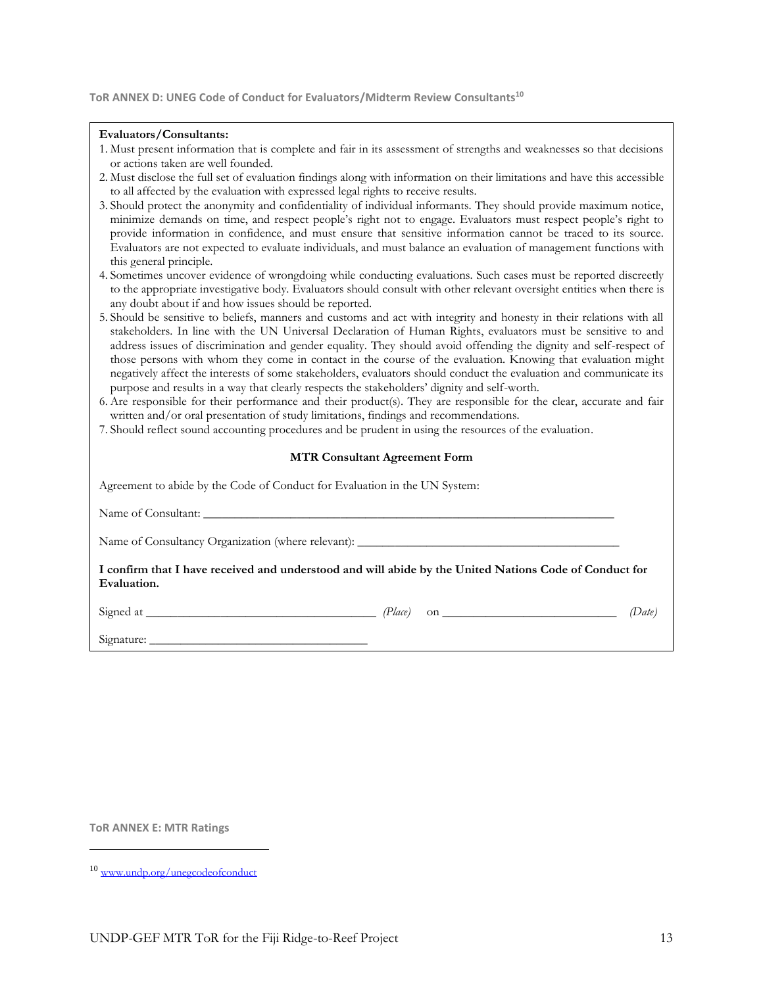**ToR ANNEX D: UNEG Code of Conduct for Evaluators/Midterm Review Consultants<sup>10</sup>**

#### **Evaluators/Consultants:**

- 1. Must present information that is complete and fair in its assessment of strengths and weaknesses so that decisions or actions taken are well founded.
- 2. Must disclose the full set of evaluation findings along with information on their limitations and have this accessible to all affected by the evaluation with expressed legal rights to receive results.
- 3. Should protect the anonymity and confidentiality of individual informants. They should provide maximum notice, minimize demands on time, and respect people's right not to engage. Evaluators must respect people's right to provide information in confidence, and must ensure that sensitive information cannot be traced to its source. Evaluators are not expected to evaluate individuals, and must balance an evaluation of management functions with this general principle.
- 4. Sometimes uncover evidence of wrongdoing while conducting evaluations. Such cases must be reported discreetly to the appropriate investigative body. Evaluators should consult with other relevant oversight entities when there is any doubt about if and how issues should be reported.
- 5. Should be sensitive to beliefs, manners and customs and act with integrity and honesty in their relations with all stakeholders. In line with the UN Universal Declaration of Human Rights, evaluators must be sensitive to and address issues of discrimination and gender equality. They should avoid offending the dignity and self-respect of those persons with whom they come in contact in the course of the evaluation. Knowing that evaluation might negatively affect the interests of some stakeholders, evaluators should conduct the evaluation and communicate its purpose and results in a way that clearly respects the stakeholders' dignity and self-worth.
- 6. Are responsible for their performance and their product(s). They are responsible for the clear, accurate and fair written and/or oral presentation of study limitations, findings and recommendations.
- 7. Should reflect sound accounting procedures and be prudent in using the resources of the evaluation.

#### **MTR Consultant Agreement Form**

| Agreement to abide by the Code of Conduct for Evaluation in the UN System:                                            |        |
|-----------------------------------------------------------------------------------------------------------------------|--------|
|                                                                                                                       |        |
|                                                                                                                       |        |
| I confirm that I have received and understood and will abide by the United Nations Code of Conduct for<br>Evaluation. |        |
|                                                                                                                       | (Date) |
|                                                                                                                       |        |

**ToR ANNEX E: MTR Ratings**

 $\overline{\phantom{a}}$ 

<sup>10</sup> [www.undp.org/unegcodeofconduct](http://www.undp.org/unegcodeofconduct)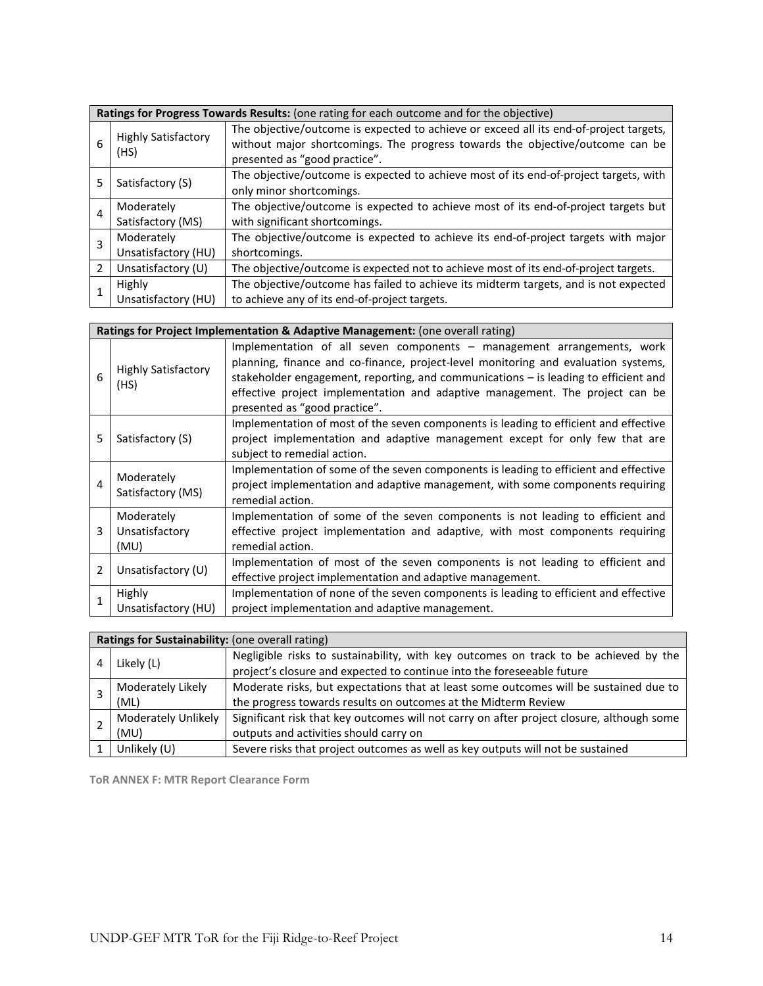|   | Ratings for Progress Towards Results: (one rating for each outcome and for the objective) |                                                                                                                                                                                                          |  |
|---|-------------------------------------------------------------------------------------------|----------------------------------------------------------------------------------------------------------------------------------------------------------------------------------------------------------|--|
| 6 | <b>Highly Satisfactory</b><br>(HS)                                                        | The objective/outcome is expected to achieve or exceed all its end-of-project targets,<br>without major shortcomings. The progress towards the objective/outcome can be<br>presented as "good practice". |  |
| 5 | Satisfactory (S)                                                                          | The objective/outcome is expected to achieve most of its end-of-project targets, with<br>only minor shortcomings.                                                                                        |  |
| 4 | Moderately<br>Satisfactory (MS)                                                           | The objective/outcome is expected to achieve most of its end-of-project targets but<br>with significant shortcomings.                                                                                    |  |
| 3 | Moderately<br>Unsatisfactory (HU)                                                         | The objective/outcome is expected to achieve its end-of-project targets with major<br>shortcomings.                                                                                                      |  |
|   | Unsatisfactory (U)                                                                        | The objective/outcome is expected not to achieve most of its end-of-project targets.                                                                                                                     |  |
|   | Highly<br>Unsatisfactory (HU)                                                             | The objective/outcome has failed to achieve its midterm targets, and is not expected<br>to achieve any of its end-of-project targets.                                                                    |  |

# **Ratings for Project Implementation & Adaptive Management:** (one overall rating)

| 6 | <b>Highly Satisfactory</b><br>(HS)   | Implementation of all seven components – management arrangements, work<br>planning, finance and co-finance, project-level monitoring and evaluation systems,<br>stakeholder engagement, reporting, and communications - is leading to efficient and<br>effective project implementation and adaptive management. The project can be<br>presented as "good practice". |
|---|--------------------------------------|----------------------------------------------------------------------------------------------------------------------------------------------------------------------------------------------------------------------------------------------------------------------------------------------------------------------------------------------------------------------|
| 5 | Satisfactory (S)                     | Implementation of most of the seven components is leading to efficient and effective<br>project implementation and adaptive management except for only few that are<br>subject to remedial action.                                                                                                                                                                   |
| 4 | Moderately<br>Satisfactory (MS)      | Implementation of some of the seven components is leading to efficient and effective<br>project implementation and adaptive management, with some components requiring<br>remedial action.                                                                                                                                                                           |
| 3 | Moderately<br>Unsatisfactory<br>(MU) | Implementation of some of the seven components is not leading to efficient and<br>effective project implementation and adaptive, with most components requiring<br>remedial action.                                                                                                                                                                                  |
| 2 | Unsatisfactory (U)                   | Implementation of most of the seven components is not leading to efficient and<br>effective project implementation and adaptive management.                                                                                                                                                                                                                          |
| 1 | Highly<br>Unsatisfactory (HU)        | Implementation of none of the seven components is leading to efficient and effective<br>project implementation and adaptive management.                                                                                                                                                                                                                              |

| Ratings for Sustainability: (one overall rating) |                                                                                                                                                                |  |
|--------------------------------------------------|----------------------------------------------------------------------------------------------------------------------------------------------------------------|--|
| Likely (L)                                       | Negligible risks to sustainability, with key outcomes on track to be achieved by the<br>project's closure and expected to continue into the foreseeable future |  |
| Moderately Likely                                | Moderate risks, but expectations that at least some outcomes will be sustained due to                                                                          |  |
| (ML)                                             | the progress towards results on outcomes at the Midterm Review                                                                                                 |  |
| Moderately Unlikely                              | Significant risk that key outcomes will not carry on after project closure, although some                                                                      |  |
| (MU)                                             | outputs and activities should carry on                                                                                                                         |  |
| Unlikely (U)                                     | Severe risks that project outcomes as well as key outputs will not be sustained                                                                                |  |

**ToR ANNEX F: MTR Report Clearance Form**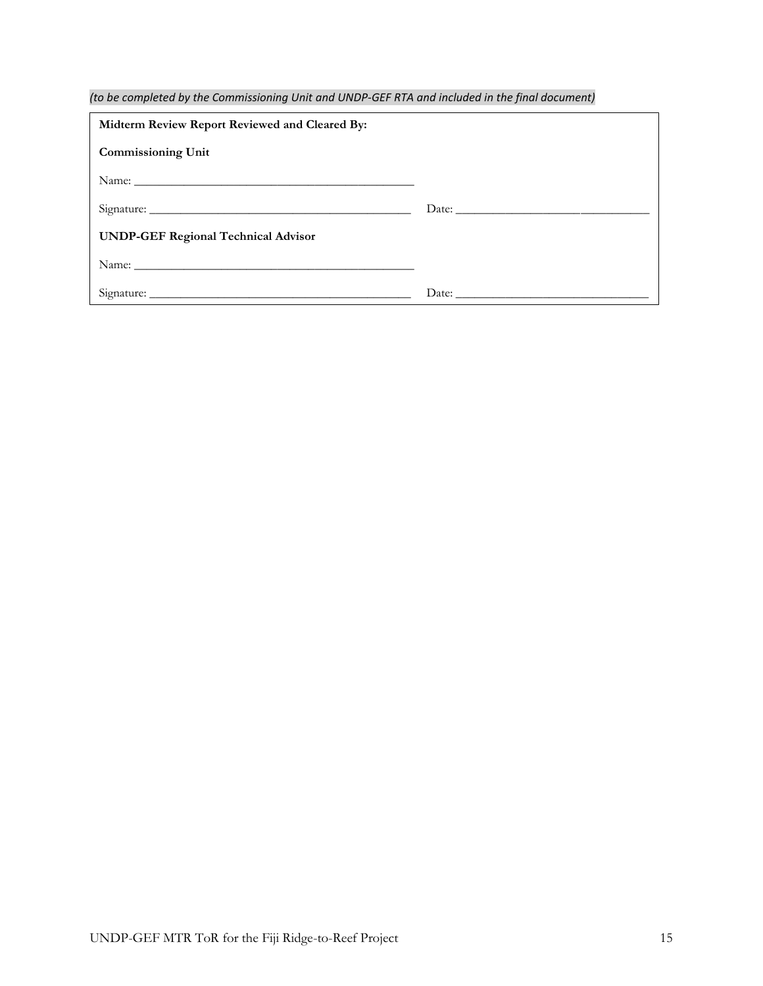*(to be completed by the Commissioning Unit and UNDP-GEF RTA and included in the final document)*

| Midterm Review Report Reviewed and Cleared By: |  |  |  |  |  |
|------------------------------------------------|--|--|--|--|--|
| <b>Commissioning Unit</b>                      |  |  |  |  |  |
|                                                |  |  |  |  |  |
|                                                |  |  |  |  |  |
| <b>UNDP-GEF Regional Technical Advisor</b>     |  |  |  |  |  |
|                                                |  |  |  |  |  |
|                                                |  |  |  |  |  |